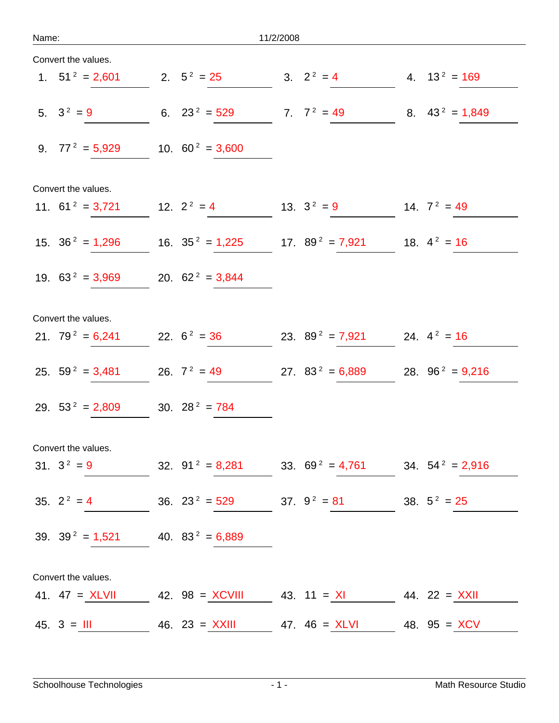| Name <sup>®</sup> |  |  |  |
|-------------------|--|--|--|
|                   |  |  |  |

| Convert the values. |                                       |                                               |                                |                    |
|---------------------|---------------------------------------|-----------------------------------------------|--------------------------------|--------------------|
| 1. $51^2 = 2,601$   |                                       | 2. $5^2 = 25$                                 | 3. $2^2 = 4$                   | 4. $13^2 = 169$    |
| 5. $3^2 = 9$        |                                       | 6. $23^2 = 529$                               | 7. $7^2 = 49$                  | 8. $43^2 = 1,849$  |
| 9. $77^2 = 5,929$   |                                       | 10. $60^2 = 3,600$                            |                                |                    |
| Convert the values. |                                       |                                               |                                |                    |
| 11. $61^2 = 3,721$  |                                       | 12. $2^2 = 4$                                 | 13. $3^2 = 9$                  | 14. $7^2 = 49$     |
| 15. $36^2 = 1,296$  |                                       | 16. $35^2 = 1,225$                            | 17. $89^2 = 7,921$             | 18. $4^2 = 16$     |
| 19. $63^2 = 3,969$  |                                       | 20. $62^2 = 3,844$                            |                                |                    |
| Convert the values. |                                       |                                               |                                |                    |
| 21. $79^2 = 6,241$  |                                       | 22. $6^2 = 36$                                | 23. $89^2 = 7,921$             | 24. $4^2 = 16$     |
| 25. $59^2 = 3,481$  |                                       | 26. $7^2 = 49$                                | 27. $83^2 = 6,889$             | 28. $96^2 = 9,216$ |
| 29. $53^2 = 2,809$  |                                       | 30. $28^2 = 784$                              |                                |                    |
| Convert the values. |                                       |                                               |                                |                    |
| $31. 3^2 = 9$       |                                       | 32. $91^2 = 8,281$ 33. $69^2 = 4,761$         |                                | 34. $54^2 = 2,916$ |
| 35. $2^2 = 4$       |                                       | 36. $23^2 = 529$                              | 37. $9^2 = 81$                 | 38. $5^2 = 25$     |
|                     | 39. $39^2 = 1,521$ 40. $83^2 = 6,889$ |                                               |                                |                    |
| Convert the values. |                                       |                                               |                                |                    |
| 41. $47 = XLVII$    |                                       | 42. $98 = XCVIII$ 43. $11 = XI$ 44. 22 = XXII |                                |                    |
| $45. 3 = 111$       |                                       | 46. 23 = $XXIII$                              | 47. $46 = XLVI$ 48. $95 = XCV$ |                    |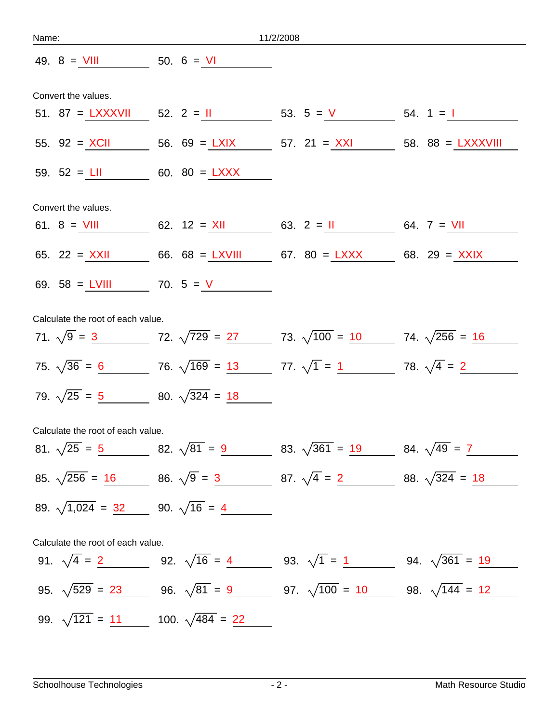| Name:                             | 11/2/2008           |                                                     |                                                                                                     |  |  |  |  |
|-----------------------------------|---------------------|-----------------------------------------------------|-----------------------------------------------------------------------------------------------------|--|--|--|--|
|                                   |                     | 49. $8 = \frac{VIII}{VII}$ 50. $6 = \frac{VI}{VII}$ |                                                                                                     |  |  |  |  |
|                                   | Convert the values. |                                                     |                                                                                                     |  |  |  |  |
|                                   |                     |                                                     | 51. 87 = $\frac{LXXXVII}{S2}$ 52. 2 = $\frac{II}{S3}$ 53. 5 = $\frac{V}{S3}$ 54. 1 = $\frac{I}{S3}$ |  |  |  |  |
|                                   |                     |                                                     | 55. 92 = $XCII$ 56. 69 = $LXIX$ 57. 21 = $XXI$ 58. 88 = $LXXXVIII$                                  |  |  |  |  |
|                                   |                     | 59. $52 = LII$ 60. $80 = LXXX$                      |                                                                                                     |  |  |  |  |
| Convert the values.               |                     |                                                     |                                                                                                     |  |  |  |  |
|                                   |                     |                                                     | 61. 8 = $VIII$ 62. 12 = $XII$ 63. 2 = $II$ 64. 7 = $VII$                                            |  |  |  |  |
|                                   |                     |                                                     | 65. 22 = $XXII$ 66. 68 = $LXVIII$ 67. 80 = $LXXX$ 68. 29 = $XXIX$                                   |  |  |  |  |
|                                   |                     | 69. $58 = LVIII$ 70. $5 = V$                        |                                                                                                     |  |  |  |  |
| Calculate the root of each value. |                     |                                                     |                                                                                                     |  |  |  |  |
|                                   |                     |                                                     | 71. $\sqrt{9} = 3$ 72. $\sqrt{729} = 27$ 73. $\sqrt{100} = 10$ 74. $\sqrt{256} = 16$                |  |  |  |  |
|                                   |                     |                                                     | 75. $\sqrt{36} = 6$ 76. $\sqrt{169} = 13$ 77. $\sqrt{1} = 1$ 78. $\sqrt{4} = 2$                     |  |  |  |  |
|                                   |                     | 79. $\sqrt{25} = 5$ 80. $\sqrt{324} = 18$           |                                                                                                     |  |  |  |  |
| Calculate the root of each value. |                     |                                                     |                                                                                                     |  |  |  |  |
|                                   |                     |                                                     | 81. $\sqrt{25} = 5$ 82. $\sqrt{81} = 9$ 83. $\sqrt{361} = 19$ 84. $\sqrt{49} = 7$                   |  |  |  |  |
|                                   |                     |                                                     | 85. $\sqrt{256} = 16$ 86. $\sqrt{9} = 3$ 87. $\sqrt{4} = 2$ 88. $\sqrt{324} = 18$                   |  |  |  |  |
|                                   |                     | 89. $\sqrt{1,024} = 32$ 90. $\sqrt{16} = 4$         |                                                                                                     |  |  |  |  |
| Calculate the root of each value. |                     |                                                     |                                                                                                     |  |  |  |  |
|                                   |                     |                                                     | 91. $\sqrt{4} = 2$ 92. $\sqrt{16} = 4$ 93. $\sqrt{1} = 1$ 94. $\sqrt{361} = 19$                     |  |  |  |  |
|                                   |                     |                                                     | 95. $\sqrt{529} = 23$ 96. $\sqrt{81} = 9$ 97. $\sqrt{100} = 10$ 98. $\sqrt{144} = 12$               |  |  |  |  |
|                                   |                     | 99. $\sqrt{121} = 11$ 100. $\sqrt{484} = 22$        |                                                                                                     |  |  |  |  |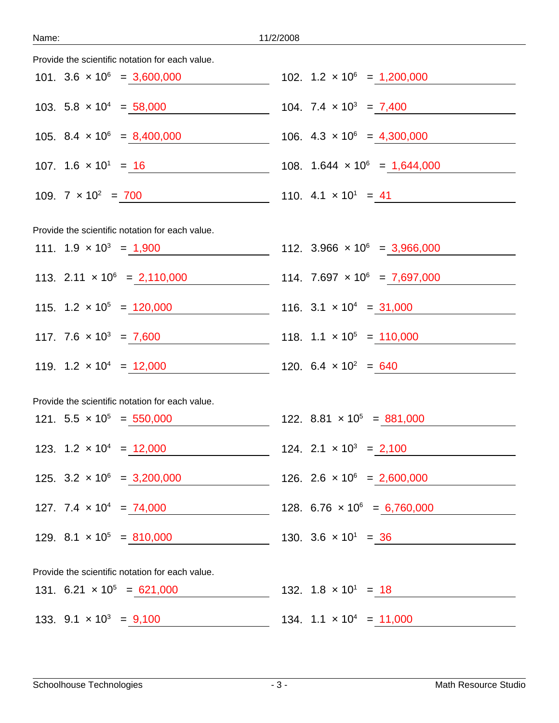| Provide the scientific notation for each value.                          |                                               |
|--------------------------------------------------------------------------|-----------------------------------------------|
| 101. $3.6 \times 10^6 = 3,600,000$                                       | 102. $1.2 \times 10^6 = 1,200,000$            |
| 103. $5.8 \times 10^4 = 58,000$ 104. $7.4 \times 10^3 = 7,400$           |                                               |
| 105. 8.4 $\times$ 10 <sup>6</sup> = 8,400,000                            | 106. $4.3 \times 10^6 = 4,300,000$            |
| 107. $1.6 \times 10^{1} = 16$                                            | 108. $1.644 \times 10^6 = 1,644,000$          |
| 109. $7 \times 10^2 = 700$                                               | 110. $4.1 \times 10^1 = 41$                   |
| Provide the scientific notation for each value.                          |                                               |
| 111. $1.9 \times 10^3 = 1,900$ 112. $3.966 \times 10^6 = 3,966,000$      |                                               |
| 113. $2.11 \times 10^6 = 2,110,000$ 114. $7.697 \times 10^6 = 7,697,000$ |                                               |
| 115. $1.2 \times 10^5 = 120,000$ 116. $3.1 \times 10^4 = 31,000$         |                                               |
| 117. $7.6 \times 10^3 = 7,600$ 118. $1.1 \times 10^5 = 110,000$          |                                               |
| 119. $1.2 \times 10^4 = 12{,}000$ 120. $6.4 \times 10^2 = 640$           |                                               |
| Provide the scientific notation for each value.                          |                                               |
| 121. $5.5 \times 10^5 = 550,000$ 122. $8.81 \times 10^5 = 881,000$       |                                               |
| 123. $1.2 \times 10^4 = 12,000$ 124. $2.1 \times 10^3 = 2,100$           |                                               |
| 125. $3.2 \times 10^6 = 3,200,000$                                       | 126. 2.6 $\times$ 10 <sup>6</sup> = 2,600,000 |
| 127. $7.4 \times 10^4 = 74,000$                                          | 128. $6.76 \times 10^6 = 6,760,000$           |
| 129. 8.1 $\times$ 10 <sup>5</sup> = 810,000                              | 130. $3.6 \times 10^1 = 36$                   |
| Provide the scientific notation for each value.                          |                                               |
| 131. $6.21 \times 10^5 = 621,000$                                        | 132. $1.8 \times 10^1 = 18$                   |
| 133. $9.1 \times 10^3 = 9,100$                                           | 134. $1.1 \times 10^4 = 11,000$               |